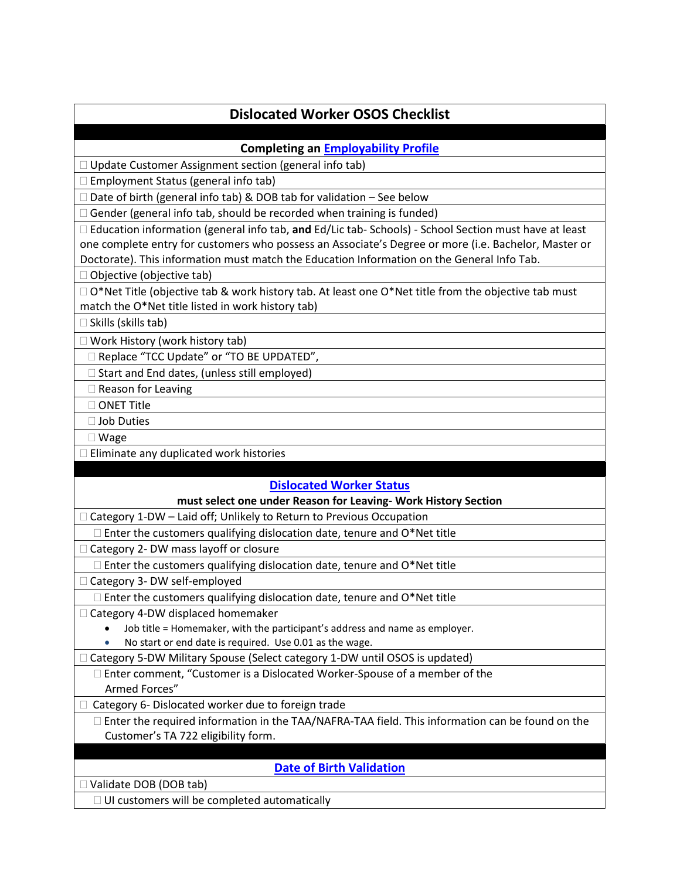# **Dislocated Worker OSOS Checklist**

### **Completing a[n Employability](http://labor.ny.gov/workforcenypartners/osos/OSOS-Guide-Employability-Profile.pdf) Profile**

□ Update Customer Assignment section (general info tab)

 $\square$  Employment Status (general info tab)

 $\Box$  Date of birth (general info tab) & DOB tab for validation – See below

 $\Box$  Gender (general info tab, should be recorded when training is funded)

 Education information (general info tab, **and** Ed/Lic tab- Schools) - School Section must have at least one complete entry for customers who possess an Associate's Degree or more (i.e. Bachelor, Master or Doctorate). This information must match the Education Information on the General Info Tab.

 $\Box$  Objective (objective tab)

 $\Box$  O\*Net Title (objective tab & work history tab. At least one O\*Net title from the objective tab must match the O\*Net title listed in work history tab)

 $\square$  Skills (skills tab)

□ Work History (work history tab)

□ Replace "TCC Update" or "TO BE UPDATED",

 $\Box$  Start and End dates, (unless still employed)

 $\Box$  Reason for Leaving

□ ONET Title

□ Job Duties

Wage

 $\Box$  Eliminate any duplicated work histories

#### **[Dislocated Worker Status](http://labor.ny.gov/workforcenypartners/PDFs/wioa-dislocated-worker-definition.pdf)**

#### **must select one under Reason for Leaving- Work History Section**

 $\Box$  Category 1-DW – Laid off; Unlikely to Return to Previous Occupation

 $\Box$  Enter the customers qualifying dislocation date, tenure and O\*Net title

□ Category 2- DW mass layoff or closure

 $\Box$  Enter the customers qualifying dislocation date, tenure and O\*Net title

□ Category 3- DW self-employed

 $\square$  Enter the customers qualifying dislocation date, tenure and O\*Net title

 $\Box$  Category 4-DW displaced homemaker

• Job title = Homemaker, with the participant's address and name as employer.

• No start or end date is required. Use 0.01 as the wage.

□ Category 5-DW Military Spouse (Select category 1-DW until OSOS is updated)

 Enter comment, "Customer is a Dislocated Worker-Spouse of a member of the Armed Forces"

 $\Box$  Category 6- Dislocated worker due to foreign trade

 Enter the required information in the TAA/NAFRA-TAA field. This information can be found on the Customer's TA 722 eligibility form.

### **[Date of Birth](http://labor.ny.gov/workforcenypartners/osos/osos-guide-dob.pdf) Validation**

□ Validate DOB (DOB tab)

 $\Box$  UI customers will be completed automatically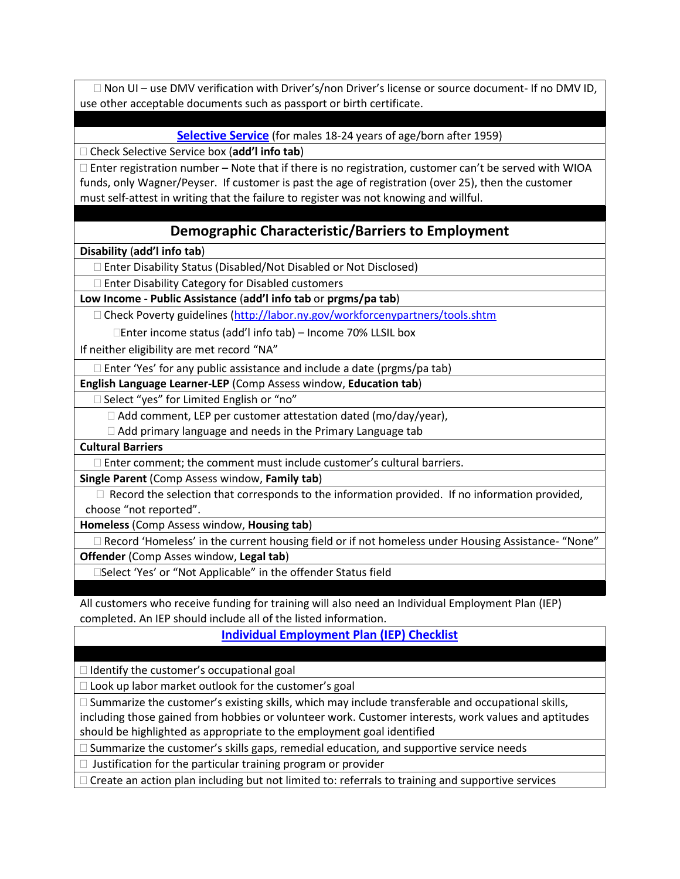□ Non UI – use DMV verification with Driver's/non Driver's license or source document- If no DMV ID, use other acceptable documents such as passport or birth certificate.

**[Selective Service](http://labor.ny.gov/workforcenypartners/ta/TA12-9-1-Selective-Service.pdf)** (for males 18-24 years of age/born after 1959)

Check Selective Service box (**add'l info tab**)

 $\Box$  Enter registration number – Note that if there is no registration, customer can't be served with WIOA funds, only Wagner/Peyser. If customer is past the age of registration (over 25), then the customer must self-attest in writing that the failure to register was not knowing and willful.

### **Demographic Characteristic/Barriers to Employment**

**Disability** (**add'l info tab**)

Enter Disability Status (Disabled/Not Disabled or Not Disclosed)

 $\Box$  Enter Disability Category for Disabled customers

**Low Income - Public Assistance** (**add'l info tab** or **prgms/pa tab**)

□ Check Poverty guidelines (http://labor.ny.gov/workforcenypartners/tools.shtm

Enter income status (add'l info tab) – Income 70% LLSIL box

If neither eligibility are met record "NA"

□ Enter 'Yes' for any public assistance and include a date (prgms/pa tab)

**English Language Learner-LEP** (Comp Assess window, **Education tab**)

□ Select "yes" for Limited English or "no"

 $\Box$  Add comment, LEP per customer attestation dated (mo/day/year),

Add primary language and needs in the Primary Language tab

**Cultural Barriers**

 $\Box$  Enter comment; the comment must include customer's cultural barriers.

**Single Parent** (Comp Assess window, **Family tab**)

 $\Box$  Record the selection that corresponds to the information provided. If no information provided, choose "not reported".

**Homeless** (Comp Assess window, **Housing tab**)

 $\Box$  Record 'Homeless' in the current housing field or if not homeless under Housing Assistance- "None" **Offender** (Comp Asses window, **Legal tab**)

□Select 'Yes' or "Not Applicable" in the offender Status field

All customers who receive funding for training will also need an Individual Employment Plan (IEP) completed. An IEP should include all of the listed information.

**[Individual Employment Plan \(IEP\) Checklist](http://labor.ny.gov/workforcenypartners/ta/TA09-17-1.pdf)**

 $\Box$  Identify the customer's occupational goal

 $\Box$  Look up labor market outlook for the customer's goal

 $\Box$  Summarize the customer's existing skills, which may include transferable and occupational skills,

including those gained from hobbies or volunteer work. Customer interests, work values and aptitudes should be highlighted as appropriate to the employment goal identified

 $\square$  Summarize the customer's skills gaps, remedial education, and supportive service needs

 $\Box$  Justification for the particular training program or provider

 $\Box$  Create an action plan including but not limited to: referrals to training and supportive services